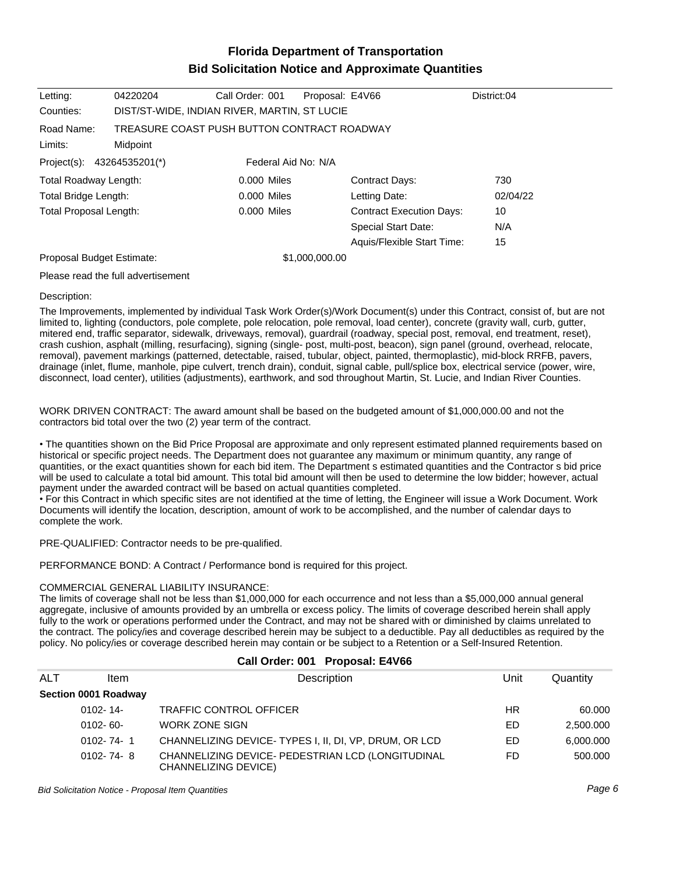# **Florida Department of Transportation Bid Solicitation Notice and Approximate Quantities**

| Letting:                      | 04220204                                     | Call Order: 001     | Proposal: E4V66 |                                 | District:04 |
|-------------------------------|----------------------------------------------|---------------------|-----------------|---------------------------------|-------------|
| Counties:                     | DIST/ST-WIDE, INDIAN RIVER, MARTIN, ST LUCIE |                     |                 |                                 |             |
| Road Name:                    | TREASURE COAST PUSH BUTTON CONTRACT ROADWAY  |                     |                 |                                 |             |
| Limits:                       | Midpoint                                     |                     |                 |                                 |             |
| Project(s):                   | 43264535201(*)                               | Federal Aid No: N/A |                 |                                 |             |
| <b>Total Roadway Length:</b>  |                                              | 0.000 Miles         |                 | <b>Contract Days:</b>           | 730         |
| Total Bridge Length:          |                                              | 0.000 Miles         |                 | Letting Date:                   | 02/04/22    |
| <b>Total Proposal Length:</b> |                                              | 0.000 Miles         |                 | <b>Contract Execution Days:</b> | 10          |
|                               |                                              |                     |                 | <b>Special Start Date:</b>      | N/A         |
|                               |                                              |                     |                 | Aquis/Flexible Start Time:      | 15          |
| Proposal Budget Estimate:     |                                              |                     | \$1,000,000.00  |                                 |             |
|                               | Please read the full advertisement           |                     |                 |                                 |             |

#### Description:

The Improvements, implemented by individual Task Work Order(s)/Work Document(s) under this Contract, consist of, but are not limited to, lighting (conductors, pole complete, pole relocation, pole removal, load center), concrete (gravity wall, curb, gutter, mitered end, traffic separator, sidewalk, driveways, removal), guardrail (roadway, special post, removal, end treatment, reset), crash cushion, asphalt (milling, resurfacing), signing (single- post, multi-post, beacon), sign panel (ground, overhead, relocate, removal), pavement markings (patterned, detectable, raised, tubular, object, painted, thermoplastic), mid-block RRFB, pavers, drainage (inlet, flume, manhole, pipe culvert, trench drain), conduit, signal cable, pull/splice box, electrical service (power, wire, disconnect, load center), utilities (adjustments), earthwork, and sod throughout Martin, St. Lucie, and Indian River Counties.

WORK DRIVEN CONTRACT: The award amount shall be based on the budgeted amount of \$1,000,000.00 and not the contractors bid total over the two (2) year term of the contract.

The quantities shown on the Bid Price Proposal are approximate and only represent estimated planned requirements based on historical or specific project needs. The Department does not guarantee any maximum or minimum quantity, any range of quantities, or the exact quantities shown for each bid item. The Department s estimated quantities and the Contractor s bid price will be used to calculate a total bid amount. This total bid amount will then be used to determine the low bidder; however, actual payment under the awarded contract will be based on actual quantities completed.

For this Contract in which specific sites are not identified at the time of letting, the Engineer will issue a Work Document. Work Documents will identify the location, description, amount of work to be accomplished, and the number of calendar days to complete the work.

PRE-QUALIFIED: Contractor needs to be pre-qualified.

PERFORMANCE BOND: A Contract / Performance bond is required for this project.

#### COMMERCIAL GENERAL LIABILITY INSURANCE:

The limits of coverage shall not be less than \$1,000,000 for each occurrence and not less than a \$5,000,000 annual general aggregate, inclusive of amounts provided by an umbrella or excess policy. The limits of coverage described herein shall apply fully to the work or operations performed under the Contract, and may not be shared with or diminished by claims unrelated to the contract. The policy/ies and coverage described herein may be subject to a deductible. Pay all deductibles as required by the policy. No policy/ies or coverage described herein may contain or be subject to a Retention or a Self-Insured Retention.

|     |                      | Call Order: 001 Proposal: E4V66                                           |      |           |
|-----|----------------------|---------------------------------------------------------------------------|------|-----------|
| ALT | <b>Item</b>          | Description                                                               | Unit | Quantity  |
|     | Section 0001 Roadway |                                                                           |      |           |
|     | $0102 - 14$          | <b>TRAFFIC CONTROL OFFICER</b>                                            | ΗR   | 60.000    |
|     | $0102 - 60 -$        | <b>WORK ZONE SIGN</b>                                                     | ED   | 2,500.000 |
|     | $0102 - 74 - 1$      | CHANNELIZING DEVICE-TYPES I, II, DI, VP, DRUM, OR LCD                     | ED   | 6,000.000 |
|     | $0102 - 74 - 8$      | CHANNELIZING DEVICE- PEDESTRIAN LCD (LONGITUDINAL<br>CHANNELIZING DEVICE) | FD   | 500.000   |

Bid Solicitation Notice - Proposal Item Quantities Page 6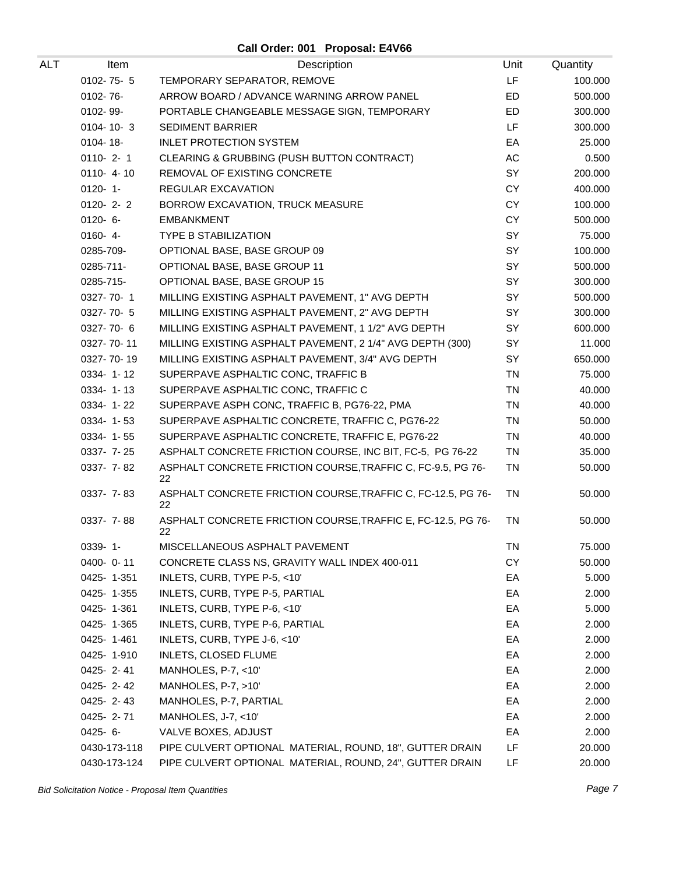| ALT | Item            | Description                                                        | Unit      | Quantity |
|-----|-----------------|--------------------------------------------------------------------|-----------|----------|
|     | $0102 - 75 - 5$ | TEMPORARY SEPARATOR, REMOVE                                        | LF        | 100.000  |
|     | 0102-76-        | ARROW BOARD / ADVANCE WARNING ARROW PANEL                          | ED        | 500.000  |
|     | 0102-99-        | PORTABLE CHANGEABLE MESSAGE SIGN, TEMPORARY                        | <b>ED</b> | 300.000  |
|     | $0104 - 10 - 3$ | <b>SEDIMENT BARRIER</b>                                            | LF        | 300.000  |
|     | 0104-18-        | <b>INLET PROTECTION SYSTEM</b>                                     | EA        | 25.000   |
|     | $0110 - 2 - 1$  | CLEARING & GRUBBING (PUSH BUTTON CONTRACT)                         | AC        | 0.500    |
|     | $0110 - 4 - 10$ | REMOVAL OF EXISTING CONCRETE                                       | SY        | 200.000  |
|     | $0120 - 1$      | REGULAR EXCAVATION                                                 | CY        | 400.000  |
|     | $0120 - 2 - 2$  | BORROW EXCAVATION, TRUCK MEASURE                                   | <b>CY</b> | 100.000  |
|     | $0120 - 6 -$    | <b>EMBANKMENT</b>                                                  | <b>CY</b> | 500.000  |
|     | $0160 - 4 -$    | <b>TYPE B STABILIZATION</b>                                        | SY        | 75.000   |
|     | 0285-709-       | OPTIONAL BASE, BASE GROUP 09                                       | SY        | 100.000  |
|     | 0285-711-       | OPTIONAL BASE, BASE GROUP 11                                       | SY        | 500.000  |
|     | 0285-715-       | OPTIONAL BASE, BASE GROUP 15                                       | SY        | 300.000  |
|     | 0327-70-1       | MILLING EXISTING ASPHALT PAVEMENT, 1" AVG DEPTH                    | SY        | 500.000  |
|     | 0327-70-5       | MILLING EXISTING ASPHALT PAVEMENT, 2" AVG DEPTH                    | SY        | 300.000  |
|     | $0327 - 70 - 6$ | MILLING EXISTING ASPHALT PAVEMENT, 1 1/2" AVG DEPTH                | SY        | 600.000  |
|     | 0327-70-11      | MILLING EXISTING ASPHALT PAVEMENT, 2 1/4" AVG DEPTH (300)          | SY        | 11.000   |
|     | 0327-70-19      | MILLING EXISTING ASPHALT PAVEMENT, 3/4" AVG DEPTH                  | SY        | 650.000  |
|     | 0334-1-12       | SUPERPAVE ASPHALTIC CONC, TRAFFIC B                                | <b>TN</b> | 75.000   |
|     | 0334-1-13       | SUPERPAVE ASPHALTIC CONC, TRAFFIC C                                | <b>TN</b> | 40.000   |
|     | 0334-1-22       | SUPERPAVE ASPH CONC, TRAFFIC B, PG76-22, PMA                       | TN        | 40.000   |
|     | 0334-1-53       | SUPERPAVE ASPHALTIC CONCRETE, TRAFFIC C, PG76-22                   | TN        | 50.000   |
|     | $0334 - 1 - 55$ | SUPERPAVE ASPHALTIC CONCRETE, TRAFFIC E, PG76-22                   | <b>TN</b> | 40.000   |
|     | 0337-7-25       | ASPHALT CONCRETE FRICTION COURSE, INC BIT, FC-5, PG 76-22          | <b>TN</b> | 35.000   |
|     | 0337-7-82       | ASPHALT CONCRETE FRICTION COURSE, TRAFFIC C, FC-9.5, PG 76-<br>22  | TN        | 50.000   |
|     | 0337- 7-83      | ASPHALT CONCRETE FRICTION COURSE, TRAFFIC C, FC-12.5, PG 76-<br>22 | TN        | 50.000   |
|     | $0337 - 7 - 88$ | ASPHALT CONCRETE FRICTION COURSE, TRAFFIC E, FC-12.5, PG 76-<br>22 | TN        | 50.000   |
|     | $0339 - 1 -$    | MISCELLANEOUS ASPHALT PAVEMENT                                     | <b>TN</b> | 75.000   |
|     | $0400 - 0 - 11$ | CONCRETE CLASS NS, GRAVITY WALL INDEX 400-011                      | СY        | 50.000   |
|     | 0425-1-351      | INLETS, CURB, TYPE P-5, <10'                                       | EA        | 5.000    |
|     | 0425-1-355      | INLETS, CURB, TYPE P-5, PARTIAL                                    | EA        | 2.000    |
|     | 0425-1-361      | INLETS, CURB, TYPE P-6, <10'                                       | EA        | 5.000    |
|     | 0425-1-365      | INLETS, CURB, TYPE P-6, PARTIAL                                    | EA        | 2.000    |
|     | 0425-1-461      | INLETS, CURB, TYPE J-6, <10'                                       | EA        | 2.000    |
|     | 0425-1-910      | <b>INLETS, CLOSED FLUME</b>                                        | EA        | 2.000    |
|     | $0425 - 2 - 41$ | MANHOLES, P-7, <10'                                                | EA        | 2.000    |
|     | 0425-2-42       | MANHOLES, P-7, >10'                                                | EA        | 2.000    |
|     | 0425-2-43       | MANHOLES, P-7, PARTIAL                                             | EA        | 2.000    |
|     | 0425-2-71       | MANHOLES, J-7, <10'                                                | EA        | 2.000    |
|     | $0425 - 6 -$    | VALVE BOXES, ADJUST                                                | EA        | 2.000    |
|     | 0430-173-118    | PIPE CULVERT OPTIONAL MATERIAL, ROUND, 18", GUTTER DRAIN           | LF        | 20.000   |
|     | 0430-173-124    | PIPE CULVERT OPTIONAL MATERIAL, ROUND, 24", GUTTER DRAIN           | LF        | 20.000   |

Bid Solicitation Notice - Proposal Item Quantities **Page 7** and the set of the set of the set of the set of the set of the set of the set of the set of the set of the set of the set of the set of the set of the set of the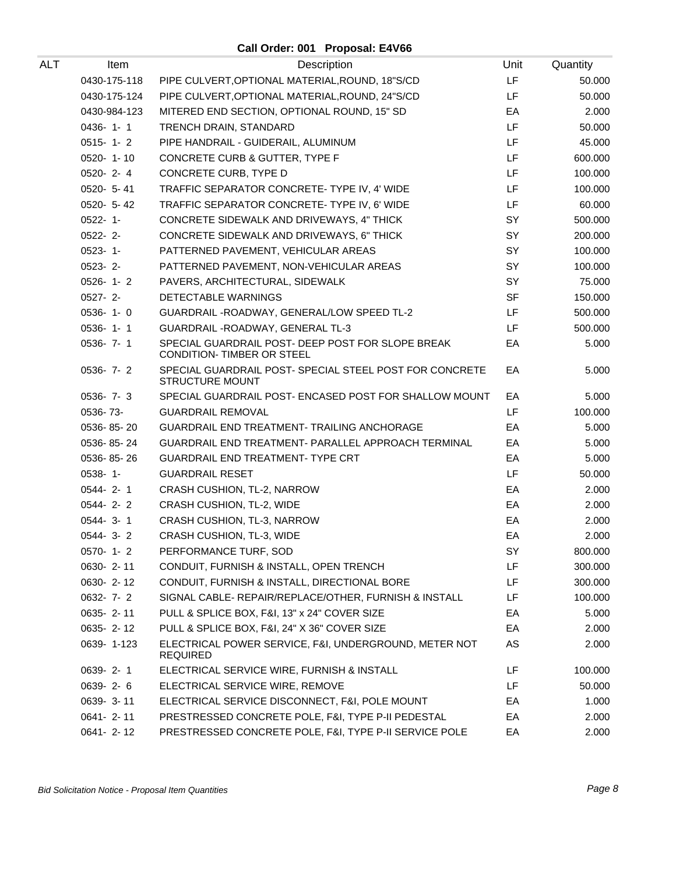| ALT | Item           | Description                                                                     | Unit      | Quantity |
|-----|----------------|---------------------------------------------------------------------------------|-----------|----------|
|     | 0430-175-118   | PIPE CULVERT, OPTIONAL MATERIAL, ROUND, 18"S/CD                                 | LF        | 50.000   |
|     | 0430-175-124   | PIPE CULVERT, OPTIONAL MATERIAL, ROUND, 24"S/CD                                 | LF        | 50.000   |
|     | 0430-984-123   | MITERED END SECTION, OPTIONAL ROUND, 15" SD                                     | EA        | 2.000    |
|     | $0436 - 1 - 1$ | TRENCH DRAIN, STANDARD                                                          | LF        | 50.000   |
|     | $0515 - 1 - 2$ | PIPE HANDRAIL - GUIDERAIL, ALUMINUM                                             | LF        | 45.000   |
|     | 0520-1-10      | CONCRETE CURB & GUTTER, TYPE F                                                  | LF        | 600.000  |
|     | 0520-2-4       | CONCRETE CURB, TYPE D                                                           | LF        | 100.000  |
|     | 0520- 5-41     | TRAFFIC SEPARATOR CONCRETE- TYPE IV, 4' WIDE                                    | LF        | 100.000  |
|     | 0520- 5-42     | TRAFFIC SEPARATOR CONCRETE-TYPE IV, 6' WIDE                                     | LF        | 60.000   |
|     | $0522 - 1 -$   | CONCRETE SIDEWALK AND DRIVEWAYS, 4" THICK                                       | SY        | 500.000  |
|     | $0522 - 2$ -   | CONCRETE SIDEWALK AND DRIVEWAYS, 6" THICK                                       | SY        | 200.000  |
|     | $0523 - 1 -$   | PATTERNED PAVEMENT, VEHICULAR AREAS                                             | SY        | 100.000  |
|     | $0523 - 2$ -   | PATTERNED PAVEMENT, NON-VEHICULAR AREAS                                         | SY        | 100.000  |
|     | $0526 - 1 - 2$ | PAVERS, ARCHITECTURAL, SIDEWALK                                                 | SY        | 75.000   |
|     | $0527 - 2 -$   | DETECTABLE WARNINGS                                                             | <b>SF</b> | 150.000  |
|     | $0536 - 1 - 0$ | GUARDRAIL - ROADWAY, GENERAL/LOW SPEED TL-2                                     | LF        | 500.000  |
|     | $0536 - 1 - 1$ | GUARDRAIL - ROADWAY, GENERAL TL-3                                               | LF.       | 500.000  |
|     | 0536-7-1       | SPECIAL GUARDRAIL POST- DEEP POST FOR SLOPE BREAK<br>CONDITION- TIMBER OR STEEL | EA        | 5.000    |
|     | $0536 - 7 - 2$ | SPECIAL GUARDRAIL POST- SPECIAL STEEL POST FOR CONCRETE<br>STRUCTURE MOUNT      | EA        | 5.000    |
|     | 0536-7-3       | SPECIAL GUARDRAIL POST- ENCASED POST FOR SHALLOW MOUNT                          | EA        | 5.000    |
|     | 0536-73-       | <b>GUARDRAIL REMOVAL</b>                                                        | LF        | 100.000  |
|     | 0536-85-20     | <b>GUARDRAIL END TREATMENT- TRAILING ANCHORAGE</b>                              | EA        | 5.000    |
|     | 0536-85-24     | GUARDRAIL END TREATMENT- PARALLEL APPROACH TERMINAL                             | EA        | 5.000    |
|     | 0536-85-26     | GUARDRAIL END TREATMENT- TYPE CRT                                               | EA        | 5.000    |
|     | $0538 - 1 -$   | <b>GUARDRAIL RESET</b>                                                          | LF        | 50.000   |
|     | $0544 - 2 - 1$ | CRASH CUSHION, TL-2, NARROW                                                     | EA        | 2.000    |
|     | $0544 - 2 - 2$ | CRASH CUSHION, TL-2, WIDE                                                       | EA        | 2.000    |
|     | $0544 - 3 - 1$ | CRASH CUSHION, TL-3, NARROW                                                     | EA        | 2.000    |
|     | $0544 - 3 - 2$ | CRASH CUSHION, TL-3, WIDE                                                       | EA        | 2.000    |
|     | 0570-1-2       | PERFORMANCE TURF, SOD                                                           | SY        | 800.000  |
|     | 0630-2-11      | CONDUIT, FURNISH & INSTALL, OPEN TRENCH                                         | LF        | 300.000  |
|     | 0630-2-12      | CONDUIT, FURNISH & INSTALL, DIRECTIONAL BORE                                    | LF        | 300.000  |
|     | $0632 - 7 - 2$ | SIGNAL CABLE- REPAIR/REPLACE/OTHER, FURNISH & INSTALL                           | LF.       | 100.000  |
|     | 0635-2-11      | PULL & SPLICE BOX, F&I, 13" x 24" COVER SIZE                                    | EA        | 5.000    |
|     | 0635-2-12      | PULL & SPLICE BOX, F&I, 24" X 36" COVER SIZE                                    | EA        | 2.000    |
|     | 0639-1-123     | ELECTRICAL POWER SERVICE, F&I, UNDERGROUND, METER NOT<br><b>REQUIRED</b>        | AS        | 2.000    |
|     | 0639-2-1       | ELECTRICAL SERVICE WIRE, FURNISH & INSTALL                                      | LF        | 100.000  |
|     | 0639-2-6       | ELECTRICAL SERVICE WIRE, REMOVE                                                 | LF        | 50.000   |
|     | 0639-3-11      | ELECTRICAL SERVICE DISCONNECT, F&I, POLE MOUNT                                  | EA        | 1.000    |
|     | 0641-2-11      | PRESTRESSED CONCRETE POLE, F&I, TYPE P-II PEDESTAL                              | EA        | 2.000    |
|     | 0641-2-12      | PRESTRESSED CONCRETE POLE, F&I, TYPE P-II SERVICE POLE                          | EA        | 2.000    |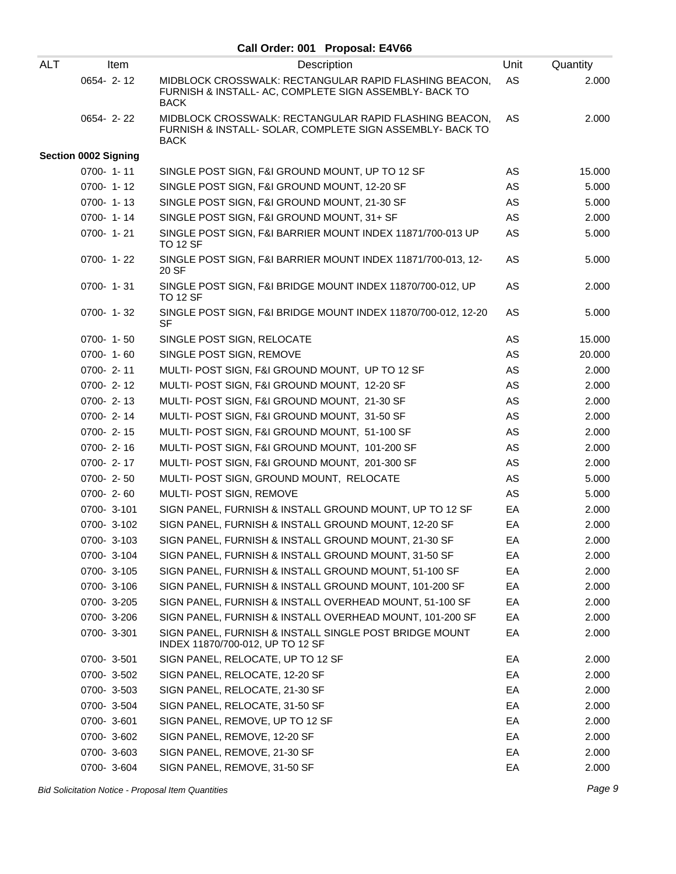| <b>ALT</b> | Item                        | Description                                                                                                                        | Unit | Quantity |
|------------|-----------------------------|------------------------------------------------------------------------------------------------------------------------------------|------|----------|
|            | 0654-2-12                   | MIDBLOCK CROSSWALK: RECTANGULAR RAPID FLASHING BEACON,<br>FURNISH & INSTALL- AC, COMPLETE SIGN ASSEMBLY- BACK TO<br><b>BACK</b>    | AS   | 2.000    |
|            | 0654-2-22                   | MIDBLOCK CROSSWALK: RECTANGULAR RAPID FLASHING BEACON,<br>FURNISH & INSTALL- SOLAR, COMPLETE SIGN ASSEMBLY- BACK TO<br><b>BACK</b> | AS   | 2.000    |
|            | <b>Section 0002 Signing</b> |                                                                                                                                    |      |          |
|            | $0700 - 1 - 11$             | SINGLE POST SIGN, F&I GROUND MOUNT, UP TO 12 SF                                                                                    | AS   | 15.000   |
|            | 0700-1-12                   | SINGLE POST SIGN, F&I GROUND MOUNT, 12-20 SF                                                                                       | AS   | 5.000    |
|            | $0700 - 1 - 13$             | SINGLE POST SIGN, F&I GROUND MOUNT, 21-30 SF                                                                                       | AS   | 5.000    |
|            | $0700 - 1 - 14$             | SINGLE POST SIGN, F&I GROUND MOUNT, 31+ SF                                                                                         | AS   | 2.000    |
|            | 0700-1-21                   | SINGLE POST SIGN, F&I BARRIER MOUNT INDEX 11871/700-013 UP<br><b>TO 12 SF</b>                                                      | AS   | 5.000    |
|            | 0700-1-22                   | SINGLE POST SIGN, F&I BARRIER MOUNT INDEX 11871/700-013, 12-<br>20 SF                                                              | AS   | 5.000    |
|            | 0700-1-31                   | SINGLE POST SIGN, F&I BRIDGE MOUNT INDEX 11870/700-012, UP<br><b>TO 12 SF</b>                                                      | AS   | 2.000    |
|            | $0700 - 1 - 32$             | SINGLE POST SIGN, F&I BRIDGE MOUNT INDEX 11870/700-012, 12-20<br><b>SF</b>                                                         | AS   | 5.000    |
|            | 0700-1-50                   | SINGLE POST SIGN, RELOCATE                                                                                                         | AS   | 15.000   |
|            | $0700 - 1 - 60$             | SINGLE POST SIGN, REMOVE                                                                                                           | AS   | 20.000   |
|            | 0700-2-11                   | MULTI- POST SIGN, F&I GROUND MOUNT, UP TO 12 SF                                                                                    | AS   | 2.000    |
|            | 0700-2-12                   | MULTI- POST SIGN, F&I GROUND MOUNT, 12-20 SF                                                                                       | AS   | 2.000    |
|            | $0700 - 2 - 13$             | MULTI- POST SIGN, F&I GROUND MOUNT, 21-30 SF                                                                                       | AS   | 2.000    |
|            | 0700-2-14                   | MULTI- POST SIGN, F&I GROUND MOUNT, 31-50 SF                                                                                       | AS   | 2.000    |
|            | 0700-2-15                   | MULTI- POST SIGN, F&I GROUND MOUNT, 51-100 SF                                                                                      | AS   | 2.000    |
|            | $0700 - 2 - 16$             | MULTI- POST SIGN, F&I GROUND MOUNT, 101-200 SF                                                                                     | AS   | 2.000    |
|            | 0700-2-17                   | MULTI- POST SIGN, F&I GROUND MOUNT, 201-300 SF                                                                                     | AS   | 2.000    |
|            | 0700-2-50                   | MULTI- POST SIGN, GROUND MOUNT, RELOCATE                                                                                           | AS   | 5.000    |
|            | 0700-2-60                   | MULTI- POST SIGN, REMOVE                                                                                                           | AS   | 5.000    |
|            | 0700-3-101                  | SIGN PANEL, FURNISH & INSTALL GROUND MOUNT, UP TO 12 SF                                                                            | EA   | 2.000    |
|            | 0700-3-102                  | SIGN PANEL, FURNISH & INSTALL GROUND MOUNT, 12-20 SF                                                                               | EA   | 2.000    |
|            | 0700-3-103                  | SIGN PANEL, FURNISH & INSTALL GROUND MOUNT, 21-30 SF                                                                               | EA   | 2.000    |
|            | 0700-3-104                  | SIGN PANEL, FURNISH & INSTALL GROUND MOUNT, 31-50 SF                                                                               | EA   | 2.000    |
|            | 0700-3-105                  | SIGN PANEL, FURNISH & INSTALL GROUND MOUNT, 51-100 SF                                                                              | EA   | 2.000    |
|            | 0700-3-106                  | SIGN PANEL, FURNISH & INSTALL GROUND MOUNT, 101-200 SF                                                                             | EA   | 2.000    |
|            | 0700-3-205                  | SIGN PANEL, FURNISH & INSTALL OVERHEAD MOUNT, 51-100 SF                                                                            | EA   | 2.000    |
|            | 0700-3-206                  | SIGN PANEL, FURNISH & INSTALL OVERHEAD MOUNT, 101-200 SF                                                                           | EA   | 2.000    |
|            | 0700-3-301                  | SIGN PANEL, FURNISH & INSTALL SINGLE POST BRIDGE MOUNT<br>INDEX 11870/700-012, UP TO 12 SF                                         | EA   | 2.000    |
|            | 0700-3-501                  | SIGN PANEL, RELOCATE, UP TO 12 SF                                                                                                  | EA   | 2.000    |
|            | 0700-3-502                  | SIGN PANEL, RELOCATE, 12-20 SF                                                                                                     | EA   | 2.000    |
|            | 0700-3-503                  | SIGN PANEL, RELOCATE, 21-30 SF                                                                                                     | EA   | 2.000    |
|            | 0700-3-504                  | SIGN PANEL, RELOCATE, 31-50 SF                                                                                                     | EA   | 2.000    |
|            | 0700-3-601                  | SIGN PANEL, REMOVE, UP TO 12 SF                                                                                                    | EA   | 2.000    |
|            | 0700-3-602                  | SIGN PANEL, REMOVE, 12-20 SF                                                                                                       | EA   | 2.000    |
|            | 0700-3-603                  | SIGN PANEL, REMOVE, 21-30 SF                                                                                                       | EA   | 2.000    |
|            | 0700-3-604                  | SIGN PANEL, REMOVE, 31-50 SF                                                                                                       | EA   | 2.000    |

Bid Solicitation Notice - Proposal Item Quantities **Page 9** and the set of the set of the set of the set of the set of the set of the set of the set of the set of the set of the set of the set of the set of the set of the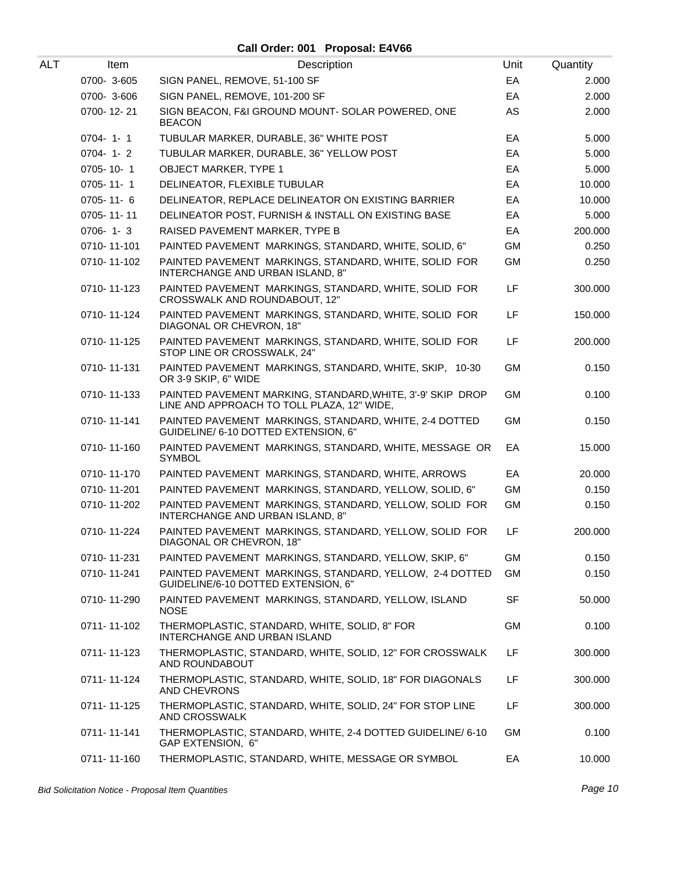**Call Order: 001 Proposal: E4V66**

| ALT | Item           | Description                                                                                              | Unit      | Quantity |
|-----|----------------|----------------------------------------------------------------------------------------------------------|-----------|----------|
|     | 0700-3-605     | SIGN PANEL, REMOVE, 51-100 SF                                                                            | EA        | 2.000    |
|     | 0700-3-606     | SIGN PANEL, REMOVE, 101-200 SF                                                                           | EA        | 2.000    |
|     | 0700-12-21     | SIGN BEACON, F&I GROUND MOUNT- SOLAR POWERED, ONE<br><b>BEACON</b>                                       | AS        | 2.000    |
|     | $0704 - 1 - 1$ | TUBULAR MARKER, DURABLE, 36" WHITE POST                                                                  | EA        | 5.000    |
|     | $0704 - 1 - 2$ | TUBULAR MARKER, DURABLE, 36" YELLOW POST                                                                 | EA        | 5.000    |
|     | 0705-10-1      | <b>OBJECT MARKER, TYPE 1</b>                                                                             | EA        | 5.000    |
|     | 0705-11-1      | DELINEATOR, FLEXIBLE TUBULAR                                                                             | EA        | 10.000   |
|     | 0705-11-6      | DELINEATOR, REPLACE DELINEATOR ON EXISTING BARRIER                                                       | EA        | 10.000   |
|     | 0705-11-11     | DELINEATOR POST, FURNISH & INSTALL ON EXISTING BASE                                                      | EA        | 5.000    |
|     | $0706 - 1 - 3$ | RAISED PAVEMENT MARKER, TYPE B                                                                           | EA        | 200.000  |
|     | 0710-11-101    | PAINTED PAVEMENT MARKINGS, STANDARD, WHITE, SOLID, 6"                                                    | GM        | 0.250    |
|     | 0710-11-102    | PAINTED PAVEMENT MARKINGS, STANDARD, WHITE, SOLID FOR<br>INTERCHANGE AND URBAN ISLAND, 8"                | GM        | 0.250    |
|     | 0710-11-123    | PAINTED PAVEMENT MARKINGS, STANDARD, WHITE, SOLID FOR<br>CROSSWALK AND ROUNDABOUT, 12"                   | LF        | 300.000  |
|     | 0710-11-124    | PAINTED PAVEMENT MARKINGS, STANDARD, WHITE, SOLID FOR<br>DIAGONAL OR CHEVRON, 18"                        | LF        | 150.000  |
|     | 0710-11-125    | PAINTED PAVEMENT MARKINGS, STANDARD, WHITE, SOLID FOR<br>STOP LINE OR CROSSWALK, 24"                     | LF        | 200.000  |
|     | 0710-11-131    | PAINTED PAVEMENT MARKINGS, STANDARD, WHITE, SKIP, 10-30<br>OR 3-9 SKIP, 6" WIDE                          | <b>GM</b> | 0.150    |
|     | 0710-11-133    | PAINTED PAVEMENT MARKING, STANDARD, WHITE, 3'-9' SKIP DROP<br>LINE AND APPROACH TO TOLL PLAZA, 12" WIDE, | <b>GM</b> | 0.100    |
|     | 0710-11-141    | PAINTED PAVEMENT MARKINGS, STANDARD, WHITE, 2-4 DOTTED<br>GUIDELINE/ 6-10 DOTTED EXTENSION, 6"           | <b>GM</b> | 0.150    |
|     | 0710-11-160    | PAINTED PAVEMENT MARKINGS, STANDARD, WHITE, MESSAGE OR<br><b>SYMBOL</b>                                  | EA        | 15.000   |
|     | 0710-11-170    | PAINTED PAVEMENT MARKINGS, STANDARD, WHITE, ARROWS                                                       | EA        | 20.000   |
|     | 0710-11-201    | PAINTED PAVEMENT MARKINGS, STANDARD, YELLOW, SOLID, 6"                                                   | <b>GM</b> | 0.150    |
|     | 0710-11-202    | PAINTED PAVEMENT MARKINGS, STANDARD, YELLOW, SOLID FOR<br>INTERCHANGE AND URBAN ISLAND, 8"               | <b>GM</b> | 0.150    |
|     | 0710-11-224    | PAINTED PAVEMENT MARKINGS, STANDARD, YELLOW, SOLID FOR<br>DIAGONAL OR CHEVRON, 18"                       | LF        | 200.000  |
|     | 0710-11-231    | PAINTED PAVEMENT MARKINGS, STANDARD, YELLOW, SKIP, 6"                                                    | <b>GM</b> | 0.150    |
|     | 0710-11-241    | PAINTED PAVEMENT MARKINGS, STANDARD, YELLOW, 2-4 DOTTED<br>GUIDELINE/6-10 DOTTED EXTENSION, 6"           | <b>GM</b> | 0.150    |
|     | 0710-11-290    | PAINTED PAVEMENT MARKINGS, STANDARD, YELLOW, ISLAND<br><b>NOSE</b>                                       | <b>SF</b> | 50.000   |
|     | 0711-11-102    | THERMOPLASTIC, STANDARD, WHITE, SOLID, 8" FOR<br>INTERCHANGE AND URBAN ISLAND                            | GM        | 0.100    |
|     | 0711-11-123    | THERMOPLASTIC, STANDARD, WHITE, SOLID, 12" FOR CROSSWALK<br>AND ROUNDABOUT                               | LF        | 300.000  |
|     | 0711-11-124    | THERMOPLASTIC, STANDARD, WHITE, SOLID, 18" FOR DIAGONALS<br>AND CHEVRONS                                 | LF        | 300.000  |
|     | 0711-11-125    | THERMOPLASTIC, STANDARD, WHITE, SOLID, 24" FOR STOP LINE<br>AND CROSSWALK                                | LF        | 300.000  |
|     | 0711-11-141    | THERMOPLASTIC, STANDARD, WHITE, 2-4 DOTTED GUIDELINE/ 6-10<br>GAP EXTENSION, 6"                          | GM        | 0.100    |
|     | 0711-11-160    | THERMOPLASTIC, STANDARD, WHITE, MESSAGE OR SYMBOL                                                        | EA        | 10.000   |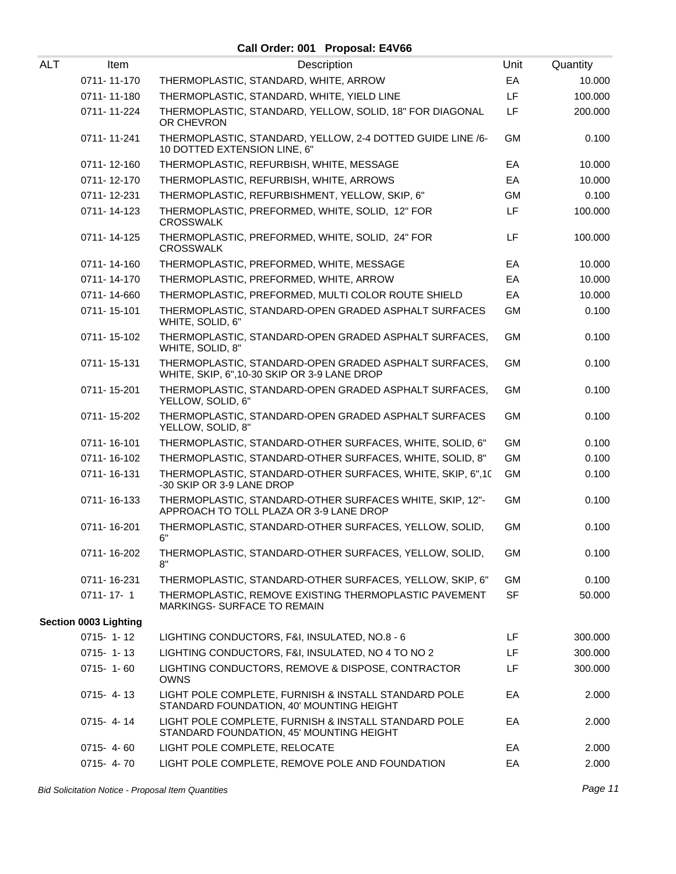| ALT | Item                  | Description                                                                                           | Unit      | Quantity |
|-----|-----------------------|-------------------------------------------------------------------------------------------------------|-----------|----------|
|     | 0711-11-170           | THERMOPLASTIC, STANDARD, WHITE, ARROW                                                                 | EA        | 10.000   |
|     | 0711-11-180           | THERMOPLASTIC, STANDARD, WHITE, YIELD LINE                                                            | LF        | 100.000  |
|     | 0711-11-224           | THERMOPLASTIC, STANDARD, YELLOW, SOLID, 18" FOR DIAGONAL<br>OR CHEVRON                                | LF        | 200.000  |
|     | 0711-11-241           | THERMOPLASTIC, STANDARD, YELLOW, 2-4 DOTTED GUIDE LINE /6-<br>10 DOTTED EXTENSION LINE, 6"            | GM        | 0.100    |
|     | 0711-12-160           | THERMOPLASTIC, REFURBISH, WHITE, MESSAGE                                                              | EA        | 10.000   |
|     | 0711-12-170           | THERMOPLASTIC, REFURBISH, WHITE, ARROWS                                                               | EA        | 10.000   |
|     | 0711-12-231           | THERMOPLASTIC, REFURBISHMENT, YELLOW, SKIP, 6"                                                        | GM        | 0.100    |
|     | 0711-14-123           | THERMOPLASTIC, PREFORMED, WHITE, SOLID, 12" FOR<br><b>CROSSWALK</b>                                   | LF        | 100.000  |
|     | 0711-14-125           | THERMOPLASTIC, PREFORMED, WHITE, SOLID, 24" FOR<br><b>CROSSWALK</b>                                   | LF        | 100.000  |
|     | 0711-14-160           | THERMOPLASTIC, PREFORMED, WHITE, MESSAGE                                                              | EA        | 10.000   |
|     | 0711-14-170           | THERMOPLASTIC, PREFORMED, WHITE, ARROW                                                                | EA        | 10.000   |
|     | 0711-14-660           | THERMOPLASTIC, PREFORMED, MULTI COLOR ROUTE SHIELD                                                    | EA        | 10.000   |
|     | 0711-15-101           | THERMOPLASTIC, STANDARD-OPEN GRADED ASPHALT SURFACES<br>WHITE, SOLID, 6"                              | GM        | 0.100    |
|     | 0711-15-102           | THERMOPLASTIC, STANDARD-OPEN GRADED ASPHALT SURFACES,<br>WHITE, SOLID, 8"                             | GM        | 0.100    |
|     | 0711-15-131           | THERMOPLASTIC, STANDARD-OPEN GRADED ASPHALT SURFACES,<br>WHITE, SKIP, 6", 10-30 SKIP OR 3-9 LANE DROP | GM        | 0.100    |
|     | 0711-15-201           | THERMOPLASTIC, STANDARD-OPEN GRADED ASPHALT SURFACES,<br>YELLOW, SOLID, 6"                            | GM        | 0.100    |
|     | 0711-15-202           | THERMOPLASTIC, STANDARD-OPEN GRADED ASPHALT SURFACES<br>YELLOW, SOLID, 8"                             | <b>GM</b> | 0.100    |
|     | 0711-16-101           | THERMOPLASTIC, STANDARD-OTHER SURFACES, WHITE, SOLID, 6"                                              | <b>GM</b> | 0.100    |
|     | 0711-16-102           | THERMOPLASTIC, STANDARD-OTHER SURFACES, WHITE, SOLID, 8"                                              | GM        | 0.100    |
|     | 0711-16-131           | THERMOPLASTIC, STANDARD-OTHER SURFACES, WHITE, SKIP, 6",10<br>-30 SKIP OR 3-9 LANE DROP               | GM        | 0.100    |
|     | 0711-16-133           | THERMOPLASTIC, STANDARD-OTHER SURFACES WHITE, SKIP, 12"-<br>APPROACH TO TOLL PLAZA OR 3-9 LANE DROP   | <b>GM</b> | 0.100    |
|     | 0711-16-201           | THERMOPLASTIC, STANDARD-OTHER SURFACES, YELLOW, SOLID,<br>6"                                          | GM        | 0.100    |
|     | 0711-16-202           | THERMOPLASTIC, STANDARD-OTHER SURFACES, YELLOW, SOLID,<br>8"                                          | GM        | 0.100    |
|     | 0711-16-231           | THERMOPLASTIC, STANDARD-OTHER SURFACES, YELLOW, SKIP, 6"                                              | GM        | 0.100    |
|     | $0711 - 17 - 1$       | THERMOPLASTIC, REMOVE EXISTING THERMOPLASTIC PAVEMENT<br>MARKINGS- SURFACE TO REMAIN                  | <b>SF</b> | 50.000   |
|     | Section 0003 Lighting |                                                                                                       |           |          |
|     | $0715 - 1 - 12$       | LIGHTING CONDUCTORS, F&I, INSULATED, NO.8 - 6                                                         | LF.       | 300.000  |
|     | $0715 - 1 - 13$       | LIGHTING CONDUCTORS, F&I, INSULATED, NO 4 TO NO 2                                                     | LF        | 300.000  |
|     | $0715 - 1 - 60$       | LIGHTING CONDUCTORS, REMOVE & DISPOSE, CONTRACTOR<br><b>OWNS</b>                                      | LF        | 300.000  |
|     | $0715 - 4 - 13$       | LIGHT POLE COMPLETE, FURNISH & INSTALL STANDARD POLE<br>STANDARD FOUNDATION, 40' MOUNTING HEIGHT      | EA        | 2.000    |
|     | $0715 - 4 - 14$       | LIGHT POLE COMPLETE, FURNISH & INSTALL STANDARD POLE<br>STANDARD FOUNDATION, 45' MOUNTING HEIGHT      | EA        | 2.000    |
|     | $0715 - 4 - 60$       | LIGHT POLE COMPLETE, RELOCATE                                                                         | EA        | 2.000    |
|     | 0715-4-70             | LIGHT POLE COMPLETE, REMOVE POLE AND FOUNDATION                                                       | EA        | 2.000    |
|     |                       |                                                                                                       |           |          |

Bid Solicitation Notice - Proposal Item Quantities **Page 11** and the set of the set of the set of the set of the set of the set of the set of the set of the set of the set of the set of the set of the set of the set of the